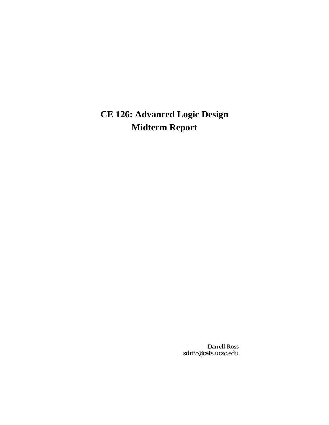# **CE 126: Advanced Logic Design Midterm Report**

Darrell Ross sdr85@cats.ucsc.edu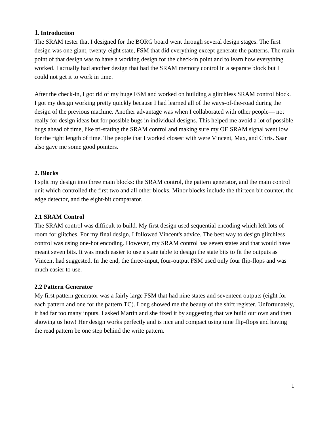## **1. Introduction**

The SRAM tester that I designed for the BORG board went through several design stages. The first design was one giant, twenty-eight state, FSM that did everything except generate the patterns. The main point of that design was to have a working design for the check-in point and to learn how everything worked. I actually had another design that had the SRAM memory control in a separate block but I could not get it to work in time.

After the check-in, I got rid of my huge FSM and worked on building a glitchless SRAM control block. I got my design working pretty quickly because I had learned all of the ways-of-the-road during the design of the previous machine. Another advantage was when I collaborated with other people— not really for design ideas but for possible bugs in individual designs. This helped me avoid a lot of possible bugs ahead of time, like tri-stating the SRAM control and making sure my OE SRAM signal went low for the right length of time. The people that I worked closest with were Vincent, Max, and Chris. Saar also gave me some good pointers.

### **2. Blocks**

I split my design into three main blocks: the SRAM control, the pattern generator, and the main control unit which controlled the first two and all other blocks. Minor blocks include the thirteen bit counter, the edge detector, and the eight-bit comparator.

## **2.1 SRAM Control**

The SRAM control was difficult to build. My first design used sequential encoding which left lots of room for glitches. For my final design, I followed Vincent's advice. The best way to design glitchless control was using one-hot encoding. However, my SRAM control has seven states and that would have meant seven bits. It was much easier to use a state table to design the state bits to fit the outputs as Vincent had suggested. In the end, the three-input, four-output FSM used only four flip-flops and was much easier to use.

#### **2.2 Pattern Generator**

My first pattern generator was a fairly large FSM that had nine states and seventeen outputs (eight for each pattern and one for the pattern TC). Long showed me the beauty of the shift register. Unfortunately, it had far too many inputs. I asked Martin and she fixed it by suggesting that we build our own and then showing us how! Her design works perfectly and is nice and compact using nine flip-flops and having the read pattern be one step behind the write pattern.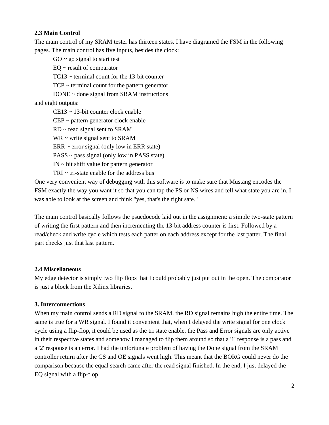### **2.3 Main Control**

The main control of my SRAM tester has thirteen states. I have diagramed the FSM in the following pages. The main control has five inputs, besides the clock:

 $GO \sim go$  signal to start test

 $EQ \sim$  result of comparator

TC13 ~ terminal count for the 13-bit counter

 $TCP \sim terminal$  count for the pattern generator

DONE ~ done signal from SRAM instructions

and eight outputs:

CE13 ~ 13-bit counter clock enable

CEP ~ pattern generator clock enable

 $RD \sim$  read signal sent to SRAM

 $WR \sim$  write signal sent to SRAM

 $ERR \sim error$  signal (only low in ERR state)

 $PASS \sim pass$  signal (only low in PASS state)

 $IN \sim bit$  shift value for pattern generator

TRI  $\sim$  tri-state enable for the address bus

One very convenient way of debugging with this software is to make sure that Mustang encodes the FSM exactly the way you want it so that you can tap the PS or NS wires and tell what state you are in. I was able to look at the screen and think "yes, that's the right sate."

The main control basically follows the psuedocode laid out in the assignment: a simple two-state pattern of writing the first pattern and then incrementing the 13-bit address counter is first. Followed by a read/check and write cycle which tests each patter on each address except for the last patter. The final part checks just that last pattern.

## **2.4 Miscellaneous**

My edge detector is simply two flip flops that I could probably just put out in the open. The comparator is just a block from the Xilinx libraries.

## **3. Interconnections**

When my main control sends a RD signal to the SRAM, the RD signal remains high the entire time. The same is true for a WR signal. I found it convenient that, when I delayed the write signal for one clock cycle using a flip-flop, it could be used as the tri state enable. the Pass and Error signals are only active in their respective states and somehow I managed to flip them around so that a '1' response is a pass and a '2' response is an error. I had the unfortunate problem of having the Done signal from the SRAM controller return after the CS and OE signals went high. This meant that the BORG could never do the comparison because the equal search came after the read signal finished. In the end, I just delayed the EQ signal with a flip-flop.